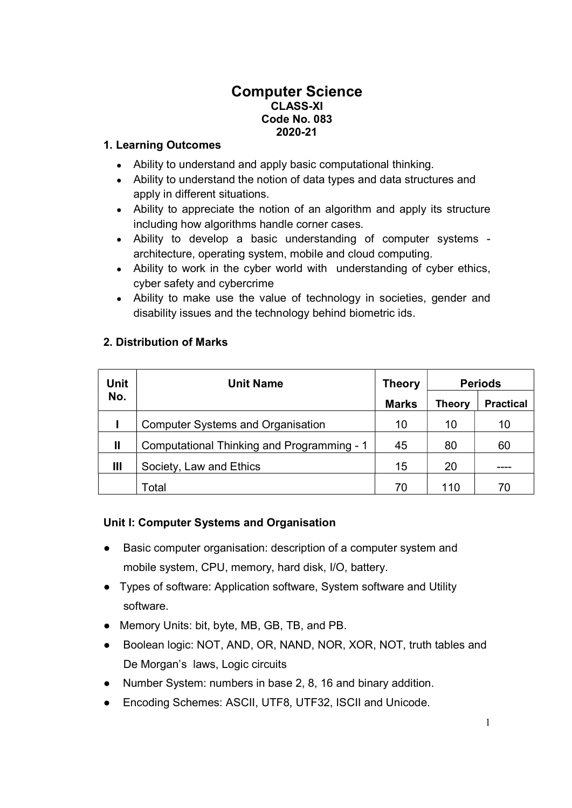### Computer Science CLASS-XI Code No. 083 2020-21

### 1. Learning Outcomes

- Ability to understand and apply basic computational thinking.
- Ability to understand the notion of data types and data structures and apply in different situations.
- Ability to appreciate the notion of an algorithm and apply its structure including how algorithms handle corner cases.
- Ability to develop a basic understanding of computer systems architecture, operating system, mobile and cloud computing.
- Ability to work in the cyber world with understanding of cyber ethics, cyber safety and cybercrime
- Ability to make use the value of technology in societies, gender and disability issues and the technology behind biometric ids.

# 2. Distribution of Marks

| <b>Unit</b>  | <b>Unit Name</b>                           | <b>Theory</b> | <b>Periods</b> |                  |
|--------------|--------------------------------------------|---------------|----------------|------------------|
| No.          |                                            | <b>Marks</b>  | <b>Theory</b>  | <b>Practical</b> |
|              | <b>Computer Systems and Organisation</b>   | 10            | 10             | 10               |
| $\mathbf{I}$ | Computational Thinking and Programming - 1 | 45            | 80             | 60               |
| Ш            | Society, Law and Ethics                    | 15            | 20             |                  |
|              | Total                                      | 70            | 110            | 70               |

#### Unit I: Computer Systems and Organisation

- Basic computer organisation: description of a computer system and mobile system, CPU, memory, hard disk, I/O, battery.
- Types of software: Application software, System software and Utility software.
- Memory Units: bit, byte, MB, GB, TB, and PB.
- Boolean logic: NOT, AND, OR, NAND, NOR, XOR, NOT, truth tables and De Morgan's laws, Logic circuits
- Number System: numbers in base 2, 8, 16 and binary addition.
- Encoding Schemes: ASCII, UTF8, UTF32, ISCII and Unicode.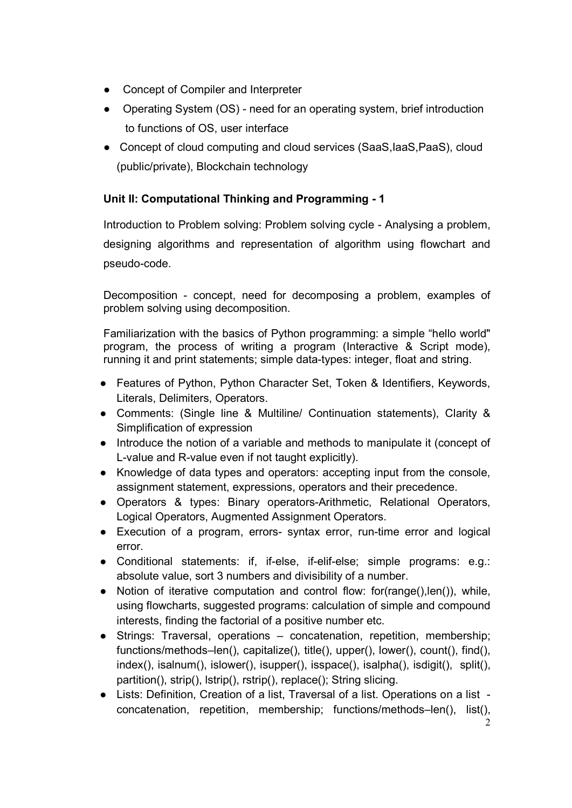- Concept of Compiler and Interpreter
- Operating System (OS) need for an operating system, brief introduction to functions of OS, user interface
- Concept of cloud computing and cloud services (SaaS, IaaS, PaaS), cloud (public/private), Blockchain technology

# Unit II: Computational Thinking and Programming - 1

Introduction to Problem solving: Problem solving cycle - Analysing a problem, designing algorithms and representation of algorithm using flowchart and pseudo-code.

Decomposition - concept, need for decomposing a problem, examples of problem solving using decomposition.

Familiarization with the basics of Python programming: a simple "hello world" program, the process of writing a program (Interactive & Script mode), running it and print statements; simple data-types: integer, float and string.

- Features of Python, Python Character Set, Token & Identifiers, Keywords, Literals, Delimiters, Operators.
- Comments: (Single line & Multiline/ Continuation statements), Clarity & Simplification of expression
- Introduce the notion of a variable and methods to manipulate it (concept of L-value and R-value even if not taught explicitly).
- Knowledge of data types and operators: accepting input from the console, assignment statement, expressions, operators and their precedence.
- Operators & types: Binary operators-Arithmetic, Relational Operators, Logical Operators, Augmented Assignment Operators.
- Execution of a program, errors- syntax error, run-time error and logical error.
- Conditional statements: if, if-else, if-elif-else; simple programs: e.g.: absolute value, sort 3 numbers and divisibility of a number.
- Notion of iterative computation and control flow: for(range(),len()), while, using flowcharts, suggested programs; calculation of simple and compound interests, finding the factorial of a positive number etc.
- Strings: Traversal, operations concatenation, repetition, membership; functions/methods–len(), capitalize(), title(), upper(), lower(), count(), find(), index(), isalnum(), islower(), isupper(), isspace(), isalpha(), isdigit(), split(), partition(), strip(), lstrip(), rstrip(), replace(); String slicing.
- Lists: Definition, Creation of a list, Traversal of a list. Operations on a list concatenation, repetition, membership; functions/methods–len(), list(),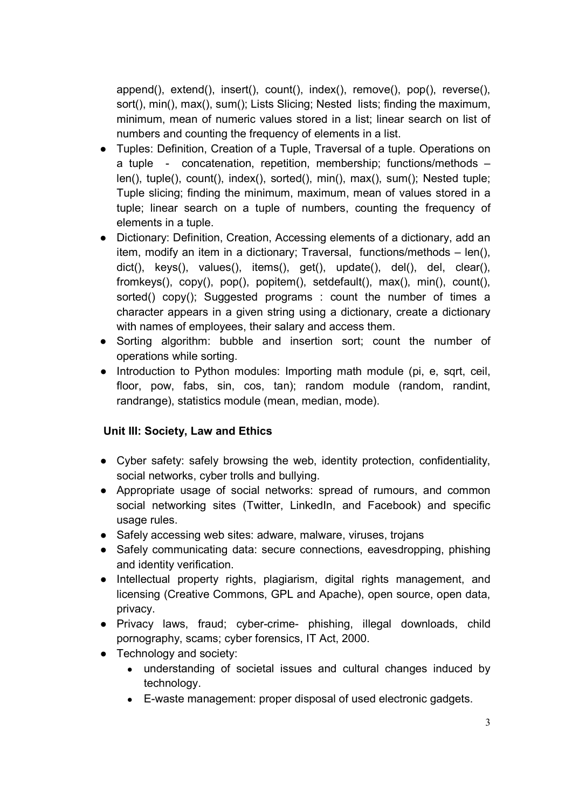append(), extend(), insert(), count(), index(), remove(), pop(), reverse(), sort(), min(), max(), sum(); Lists Slicing; Nested lists; finding the maximum, minimum, mean of numeric values stored in a list; linear search on list of numbers and counting the frequency of elements in a list.

- Tuples: Definition, Creation of a Tuple, Traversal of a tuple. Operations on a tuple - concatenation, repetition, membership; functions/methods – len(), tuple(), count(), index(), sorted(), min(), max(), sum(); Nested tuple; Tuple slicing; finding the minimum, maximum, mean of values stored in a tuple; linear search on a tuple of numbers, counting the frequency of elements in a tuple.
- Dictionary: Definition, Creation, Accessing elements of a dictionary, add an item, modify an item in a dictionary; Traversal, functions/methods – len(), dict(), keys(), values(), items(), get(), update(), del(), del, clear(), fromkeys(), copy(), pop(), popitem(), setdefault(), max(), min(), count(), sorted() copy(); Suggested programs : count the number of times a character appears in a given string using a dictionary, create a dictionary with names of employees, their salary and access them.
- Sorting algorithm: bubble and insertion sort; count the number of operations while sorting.
- Introduction to Python modules: Importing math module (pi, e, sqrt, ceil, floor, pow, fabs, sin, cos, tan); random module (random, randint, randrange), statistics module (mean, median, mode).

# Unit III: Society, Law and Ethics

- Cyber safety: safely browsing the web, identity protection, confidentiality, social networks, cyber trolls and bullying.
- Appropriate usage of social networks: spread of rumours, and common social networking sites (Twitter, LinkedIn, and Facebook) and specific usage rules.
- Safely accessing web sites: adware, malware, viruses, trojans
- Safely communicating data: secure connections, eavesdropping, phishing and identity verification.
- Intellectual property rights, plagiarism, digital rights management, and licensing (Creative Commons, GPL and Apache), open source, open data, privacy.
- Privacy laws, fraud; cyber-crime- phishing, illegal downloads, child pornography, scams; cyber forensics, IT Act, 2000.
- Technology and society:
	- understanding of societal issues and cultural changes induced by technology.
	- E-waste management: proper disposal of used electronic gadgets.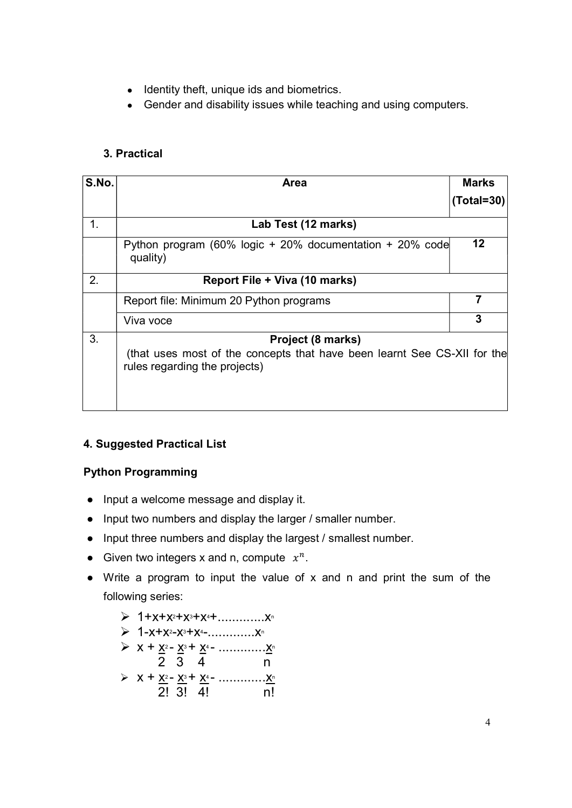- Identity theft, unique ids and biometrics.
- Gender and disability issues while teaching and using computers.

# 3. Practical

| S.No. | Area                                                                                                      | <b>Marks</b>      |  |
|-------|-----------------------------------------------------------------------------------------------------------|-------------------|--|
|       |                                                                                                           | $(Total = 30)$    |  |
| 1.    | Lab Test (12 marks)                                                                                       |                   |  |
|       | Python program (60% logic + 20% documentation + 20% code<br>quality)                                      | $12 \overline{ }$ |  |
| 2.    | Report File + Viva (10 marks)                                                                             |                   |  |
|       | Report file: Minimum 20 Python programs                                                                   |                   |  |
|       | Viva voce                                                                                                 | 3                 |  |
| 3.    | Project (8 marks)                                                                                         |                   |  |
|       | (that uses most of the concepts that have been learnt See CS-XII for the<br>rules regarding the projects) |                   |  |
|       |                                                                                                           |                   |  |

# 4. Suggested Practical List

# Python Programming

- Input a welcome message and display it.
- Input two numbers and display the larger / smaller number.
- Input three numbers and display the largest / smallest number.
- Given two integers x and n, compute  $x^n$ .
- Write a program to input the value of x and n and print the sum of the following series:

| $\triangleright$ 1-x+x <sup>2</sup> -x <sup>3</sup> +x <sup>4</sup> -                                |    |
|------------------------------------------------------------------------------------------------------|----|
| 2 3 4                                                                                                | n  |
| $\triangleright$ X + X <sup>2</sup> - X <sup>3</sup> + X <sup>4</sup> - X <sup>n</sup><br>$2!$ 3! 4! | nl |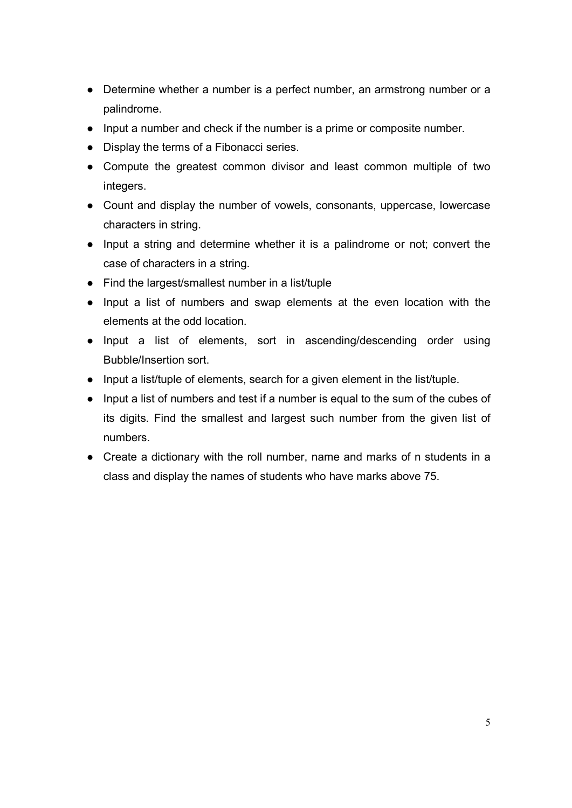- Determine whether a number is a perfect number, an armstrong number or a palindrome.
- Input a number and check if the number is a prime or composite number.
- Display the terms of a Fibonacci series.
- Compute the greatest common divisor and least common multiple of two integers.
- Count and display the number of vowels, consonants, uppercase, lowercase characters in string.
- Input a string and determine whether it is a palindrome or not; convert the case of characters in a string.
- Find the largest/smallest number in a list/tuple
- Input a list of numbers and swap elements at the even location with the elements at the odd location.
- Input a list of elements, sort in ascending/descending order using Bubble/Insertion sort.
- Input a list/tuple of elements, search for a given element in the list/tuple.
- Input a list of numbers and test if a number is equal to the sum of the cubes of its digits. Find the smallest and largest such number from the given list of numbers.
- Create a dictionary with the roll number, name and marks of n students in a class and display the names of students who have marks above 75.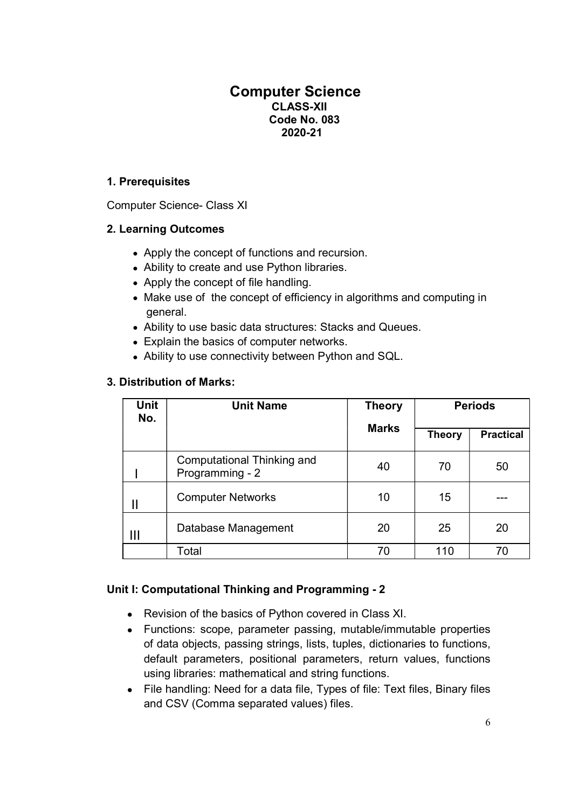# Computer Science CLASS-XII Code No. 083 2020-21

### 1. Prerequisites

Computer Science- Class XI

# 2. Learning Outcomes

- Apply the concept of functions and recursion.
- Ability to create and use Python libraries.
- Apply the concept of file handling.
- Make use of the concept of efficiency in algorithms and computing in general.
- Ability to use basic data structures: Stacks and Queues.
- Explain the basics of computer networks.
- Ability to use connectivity between Python and SQL.

### 3. Distribution of Marks:

| <b>Unit</b><br>No. | <b>Unit Name</b>                              | <b>Theory</b><br><b>Marks</b> | <b>Periods</b> |                  |
|--------------------|-----------------------------------------------|-------------------------------|----------------|------------------|
|                    |                                               |                               | <b>Theory</b>  | <b>Practical</b> |
|                    | Computational Thinking and<br>Programming - 2 | 40                            | 70             | 50               |
|                    | <b>Computer Networks</b>                      | 10                            | 15             |                  |
| Ш                  | Database Management                           | 20                            | 25             | 20               |
|                    | Total                                         | 70                            | 110            | 70               |

#### Unit I: Computational Thinking and Programming - 2

- Revision of the basics of Python covered in Class XI.
- Functions: scope, parameter passing, mutable/immutable properties of data objects, passing strings, lists, tuples, dictionaries to functions, default parameters, positional parameters, return values, functions using libraries: mathematical and string functions.
- File handling: Need for a data file, Types of file: Text files, Binary files and CSV (Comma separated values) files.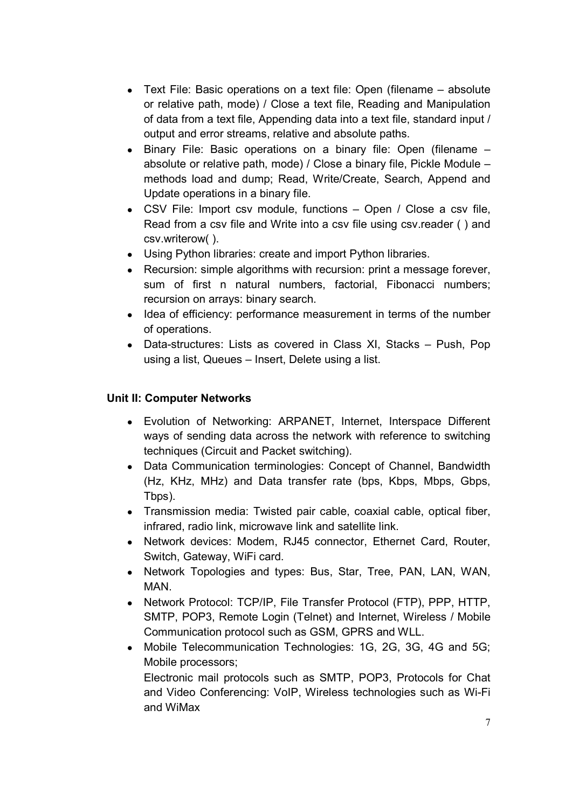- Text File: Basic operations on a text file: Open (filename absolute or relative path, mode) / Close a text file, Reading and Manipulation of data from a text file, Appending data into a text file, standard input / output and error streams, relative and absolute paths.
- Binary File: Basic operations on a binary file: Open (filename absolute or relative path, mode) / Close a binary file, Pickle Module – methods load and dump; Read, Write/Create, Search, Append and Update operations in a binary file.
- CSV File: Import csv module, functions Open / Close a csv file, Read from a csv file and Write into a csv file using csv.reader ( ) and csv.writerow( ).
- Using Python libraries: create and import Python libraries.
- Recursion: simple algorithms with recursion: print a message forever, sum of first n natural numbers, factorial, Fibonacci numbers; recursion on arrays: binary search.
- Idea of efficiency: performance measurement in terms of the number of operations.
- Data-structures: Lists as covered in Class XI, Stacks Push, Pop using a list, Queues – Insert, Delete using a list.

#### Unit II: Computer Networks

- Evolution of Networking: ARPANET, Internet, Interspace Different ways of sending data across the network with reference to switching techniques (Circuit and Packet switching).
- Data Communication terminologies: Concept of Channel, Bandwidth (Hz, KHz, MHz) and Data transfer rate (bps, Kbps, Mbps, Gbps, Tbps).
- Transmission media: Twisted pair cable, coaxial cable, optical fiber, infrared, radio link, microwave link and satellite link.
- Network devices: Modem, RJ45 connector, Ethernet Card, Router, Switch, Gateway, WiFi card.
- Network Topologies and types: Bus, Star, Tree, PAN, LAN, WAN, MAN.
- Network Protocol: TCP/IP, File Transfer Protocol (FTP), PPP, HTTP, SMTP, POP3, Remote Login (Telnet) and Internet, Wireless / Mobile Communication protocol such as GSM, GPRS and WLL.
- Mobile Telecommunication Technologies: 1G, 2G, 3G, 4G and 5G; Mobile processors;

Electronic mail protocols such as SMTP, POP3, Protocols for Chat and Video Conferencing: VoIP, Wireless technologies such as Wi-Fi and WiMax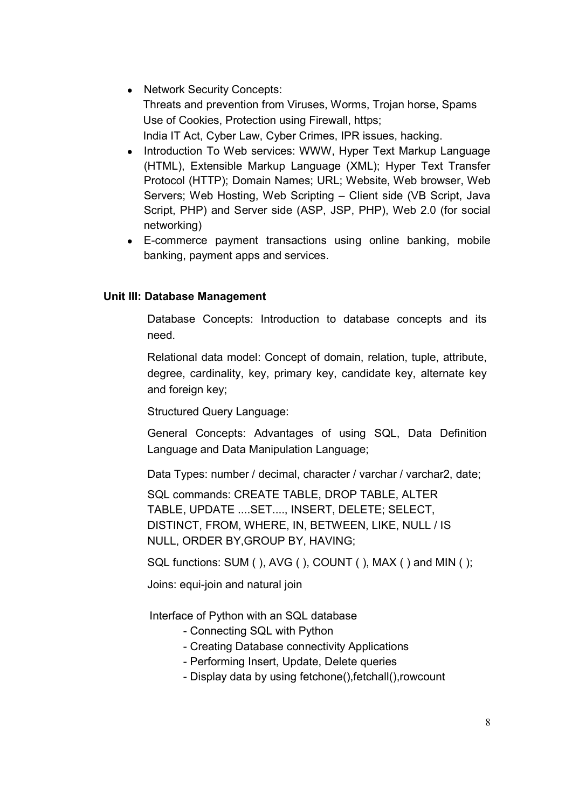- Network Security Concepts: Threats and prevention from Viruses, Worms, Trojan horse, Spams Use of Cookies, Protection using Firewall, https; India IT Act, Cyber Law, Cyber Crimes, IPR issues, hacking.
- Introduction To Web services: WWW, Hyper Text Markup Language (HTML), Extensible Markup Language (XML); Hyper Text Transfer Protocol (HTTP); Domain Names; URL; Website, Web browser, Web Servers; Web Hosting, Web Scripting – Client side (VB Script, Java Script, PHP) and Server side (ASP, JSP, PHP), Web 2.0 (for social networking)
- E-commerce payment transactions using online banking, mobile banking, payment apps and services.

#### Unit III: Database Management

Database Concepts: Introduction to database concepts and its need.

Relational data model: Concept of domain, relation, tuple, attribute, degree, cardinality, key, primary key, candidate key, alternate key and foreign key;

Structured Query Language:

General Concepts: Advantages of using SQL, Data Definition Language and Data Manipulation Language;

Data Types: number / decimal, character / varchar / varchar2, date;

SQL commands: CREATE TABLE, DROP TABLE, ALTER TABLE, UPDATE ....SET...., INSERT, DELETE; SELECT, DISTINCT, FROM, WHERE, IN, BETWEEN, LIKE, NULL / IS NULL, ORDER BY,GROUP BY, HAVING;

SQL functions: SUM ( ), AVG ( ), COUNT ( ), MAX ( ) and MIN ( );

Joins: equi-join and natural join

Interface of Python with an SQL database

- Connecting SQL with Python
- Creating Database connectivity Applications
- Performing Insert, Update, Delete queries
- Display data by using fetchone(),fetchall(),rowcount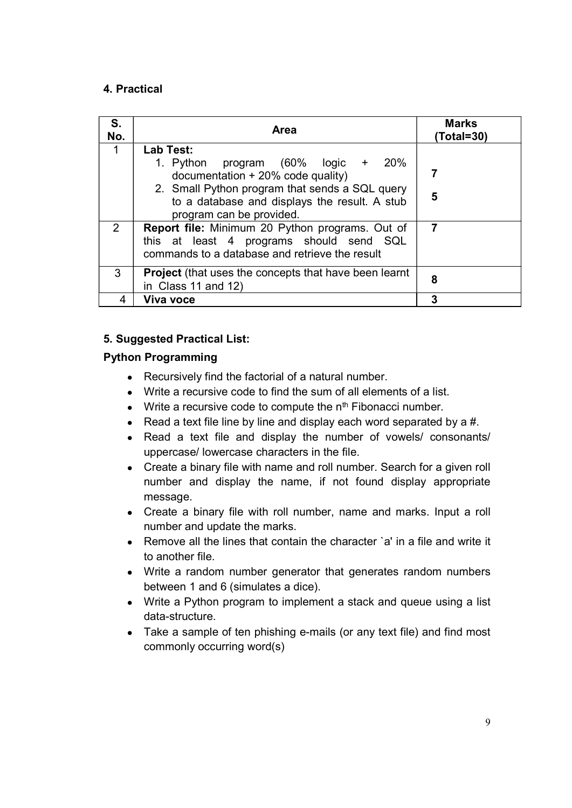#### 4. Practical

| S.<br>No. | Area                                                                                                                                                                                                                   | <b>Marks</b><br>(Total=30) |
|-----------|------------------------------------------------------------------------------------------------------------------------------------------------------------------------------------------------------------------------|----------------------------|
|           | Lab Test:                                                                                                                                                                                                              |                            |
|           | 1. Python program $(60\% \text{ logic } + 20\%)$<br>documentation $+20\%$ code quality)<br>2. Small Python program that sends a SQL query<br>to a database and displays the result. A stub<br>program can be provided. | 5                          |
| 2         | Report file: Minimum 20 Python programs. Out of<br>this at least 4 programs should send SQL<br>commands to a database and retrieve the result                                                                          | 7                          |
| 3         | <b>Project</b> (that uses the concepts that have been learnt<br>in Class 11 and 12)                                                                                                                                    | 8                          |
| 4         | Viva voce                                                                                                                                                                                                              | 3                          |

# 5. Suggested Practical List:

### Python Programming

- Recursively find the factorial of a natural number.
- Write a recursive code to find the sum of all elements of a list.
- Write a recursive code to compute the  $n<sup>th</sup>$  Fibonacci number.
- Read a text file line by line and display each word separated by a  $#$ .
- Read a text file and display the number of vowels/ consonants/ uppercase/ lowercase characters in the file.
- Create a binary file with name and roll number. Search for a given roll number and display the name, if not found display appropriate message.
- Create a binary file with roll number, name and marks. Input a roll number and update the marks.
- Remove all the lines that contain the character `a' in a file and write it to another file.
- Write a random number generator that generates random numbers between 1 and 6 (simulates a dice).
- Write a Python program to implement a stack and queue using a list data-structure.
- Take a sample of ten phishing e-mails (or any text file) and find most commonly occurring word(s)